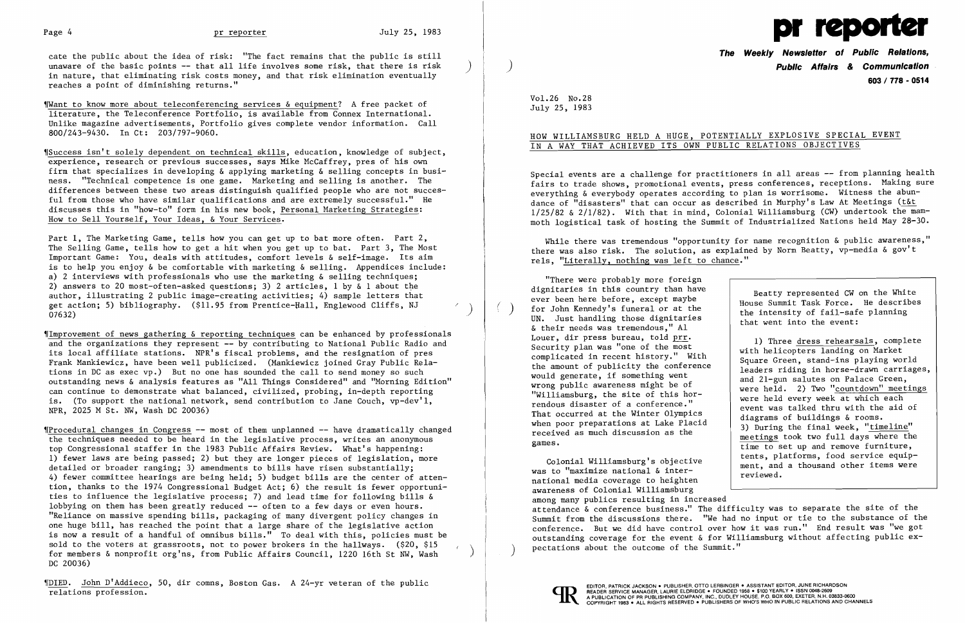

cate the public about the idea of risk: "The fact remains that the public is still<br>unaware of the basic points -- that all life involves some risk, that there is risk in nature, that eliminating risk costs money, and that risk elimination eventually reaches a point of diminishing returns."

Want to know more about teleconferencing services  $\&$  equipment? A free packet of literature, the Teleconference Portfolio, is available from Connex International. Unlike magazine advertisements, Portfolio gives complete vendor information. Call 800/243-9430. In Ct: 203/797-9060.

 $$Success isn't solely dependent on technical skills, education, knowledge of subject,$ experience, research or previous successes, says Mike McCaffrey, pres of his own firm that specializes in developing & applying marketing & selling concepts in business. "Technical competence is one game. Marketing and selling is another. The differences between these two areas distinguish qualified people who are not succesful from those who have similar qualifications and are extremely successful." He discusses this in "how-to" form in his new book, Personal Marketing Strategies: How to Sell Yourself, Your Ideas, & Your Services.

Part 1, The Marketing Game, tells how you can get up to bat more often. Part 2, The Selling Game, tells how to get a hit when you get up to bat. Part 3, The Most Important Game: You, deals with attitudes, comfort levels & self-image. Its aim is to help you enjoy & be comfortable with marketing & selling. Appendices include: a) 2 interviews with professionals who use the marketing & selling techniques; 2) answers to 20 most-often-asked questions; 3) 2 articles, 1 by  $\alpha$  1 about the author, illustrating 2 public image-creating activities; 4) sample letters that get action; 5) bibliography. (\$11.95 from Prentice-Hall, Englewood Cliffs, NJ (1986)<br>07632)

 $\llbracket$ Improvement of news gathering & reporting techniques can be enhanced by professionals and the organizations they represent -- by contributing to National Public Radio and its local affiliate stations. NPR's fiscal problems, and the resignation of pres Frank Mankiewicz, have been well publicized. (Mankiewicz joined Gray Public Relations in DC as exec vp.) But no one has sounded the call to send money so such outstanding news & analysis features as "All Things Considered" and "Morning Edition" can continue to demonstrate what balanced, civilized, probing, in-depth reporting is. (To support the national network, send contribution to Jane Couch, vp-dev'l, NPR, 2025 M St. NW, Wash DC 20036)

TProcedural changes in Congress -- most of them unplanned -- have dramatically changed the techniques needed to be heard in the legislative process, writes an anonymous top Congressional staffer in the 1983 Public Affairs Review. What's happening: 1) fewer laws are being passed; 2) but they are longer pieces of legislation, more detailed or broader ranging; 3) amendments to bills have risen substantially; 4) fewer committee hearings are being held; 5) budget bills are the center of attention, thanks to the 1974 Congressional Budget Act; 6) the result is fewer opportunities to influence the legislative process; 7) and lead time for following bills & lobbying on them has been greatly reduced -- often to a few days or even hours. "Reliance on massive spending bills, packaging of many divergent policy changes in one huge bill, has reached the point that a large share of the legislative action is now a result of a handful of omnibus bills." To deal with this, policies must be sold to the voters at grassroots, not to power brokers in the hallways. (\$20, \$15 for members & nonprofit org'ns, from Public Affairs Council, 1220 16th St NW, Wash ) DC 20036)

VOIED. John D'Addieco, 50, dir comns, Boston Gas. A 24-yr veteran of the public relations profession.

While there was tremendous "opportunity for name recognition & public awareness," there was also risk. The solution, as explained by Norm Beatty, vp-media & gov't rels, "Literally, nothing was left to chance."

Colonial Williamsburg's objective was to "maximize national & international media coverage to heighten awareness of Colonial Williamsburg ment, and a thousand other items were reviewed. among many publics resulting in increased attendance & conference business." The difficulty was to separate the site of the Summit from the discussions there. "We had no input or tie to the substance of the conference. But we did have control over how it was run." End result was "we got outstanding coverage for the event & for Williamsburg without affecting public expectations about the outcome of the Summit."



**The Weekly Newsletter of Public Relations,**  ) **Public Affairs & Communication 603/778 - 0514** 

Vol. 26 No.28 July 25, 1983

## HOW WILLIAMSBURG HELD A HUGE, POTENTIALLY EXPLOSIVE SPECIAL EVENT IN A WAY THAT ACHIEVED ITS OWN PUBLIC RELATIONS OBJECTIVES

Special events are a challenge for practitioners in all areas -- from planning health fairs to trade shows, promotional events, press conferences, receptions. Making sure everything & everybody operates according to plan is worrisome. Witness the abundance of "disasters" that can occur as described in Murphy's Law At Meetings (t&t 1/25/82 & 2/1/82). With that in mind, Colonial Williamsburg (CW) undertook the mammoth logistical task of hosting the Summit of Industrialized Nations held May 28-30.

"There were probably more foreign dignitaries in this country than have ever been here before, except maybe<br>for John Kennedy's funeral or at the UN. Just handling those dignitaries & their needs was tremendous," Al Louer, dir press bureau, told prr. Security plan was "one of the most complicated in recent history." With the amount of publicity the conference would generate, if something went wrong public awareness might be of "Williamsburg, the site of this horrendous disaster of a conference." That occurred at the Winter Olympics when poor preparations at Lake Placid received as much discussion as the games.

Beatty represented CW on the White House Summit Task Force. He describes the intensity of fail-safe planning that went into the event:

1) Three dress rehearsals, complete with helicopters landing on Market Square Green, stand-ins playing world leaders riding in horse-drawn carriages, and 21-gun salutes on Palace Green, were held. 2) Two "countdown" meetings were held every week at which each event was talked thru with the aid of diagrams of buildings & rooms. 3) During the final week, "timeline" meetings took two full days where the time to set up and remove furniture, tents, platforms, food service equip